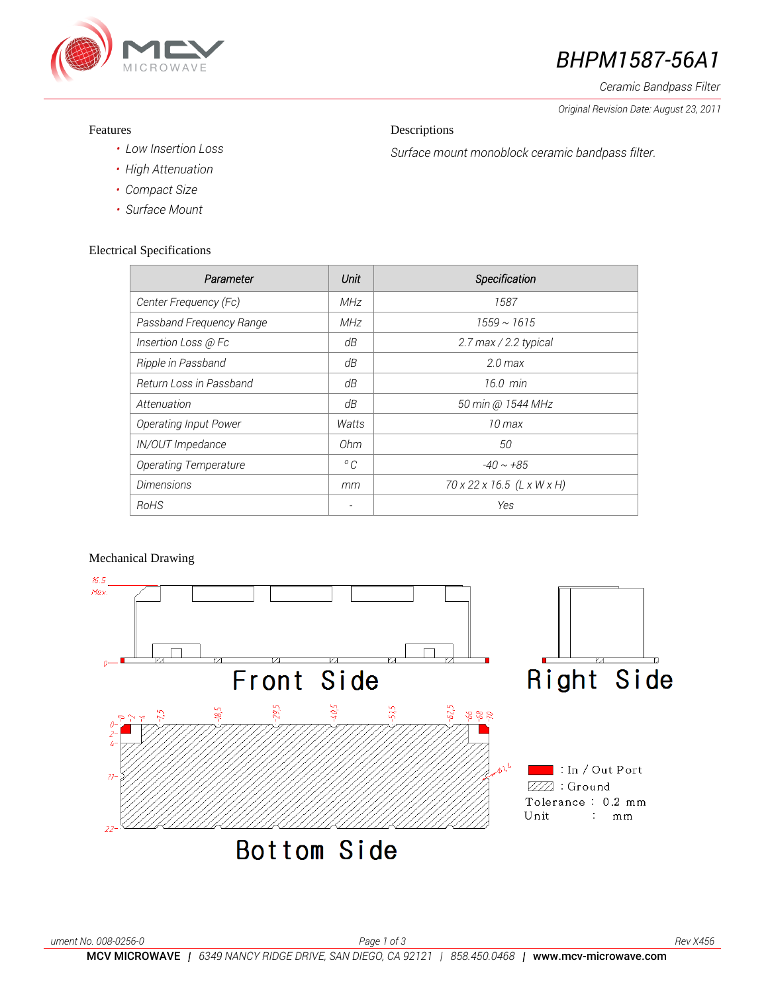

# *BHPM1587-56A1*

*Ceramic Bandpass Filter*

*Original Revision Date: August 23, 2011* 

#### Features

### Descriptions

*Surface mount monoblock ceramic bandpass filter.*

- *• Low Insertion Loss*
- *• High Attenuation*
- *• Compact Size*
- *• Surface Mount*

### Electrical Specifications

| Parameter                    | Unit         | Specification              |
|------------------------------|--------------|----------------------------|
| Center Frequency (Fc)        | MHz          | 1587                       |
| Passband Frequency Range     | <b>MHz</b>   | $1559 \sim 1615$           |
| Insertion Loss @ Fc          | dΒ           | 2.7 max / 2.2 typical      |
| Ripple in Passband           | dΒ           | $2.0$ max                  |
| Return Loss in Passband      | dΒ           | $16.0$ min                 |
| Attenuation                  | dB           | 50 min @ 1544 MHz          |
| <b>Operating Input Power</b> | Watts        | $10 \,\mathrm{max}$        |
| IN/OUT Impedance             | 0hm          | 50                         |
| <b>Operating Temperature</b> | $^{\circ}$ C | $-40 \sim +85$             |
| <b>Dimensions</b>            | mm           | 70 x 22 x 16.5 (L x W x H) |
| RoHS                         |              | Yes                        |

## Mechanical Drawing

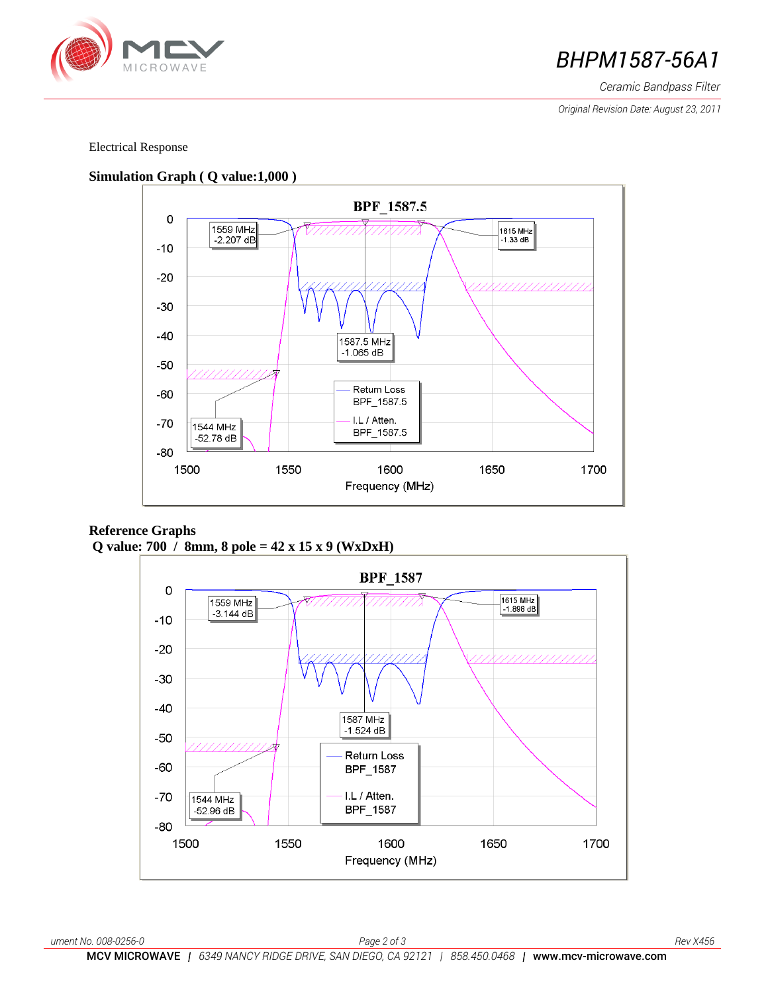

## **BHPM1587-56A1**

*Ceramic Bandpass Filter*

*Original Revision Date: August 23, 2011* 

#### Electrical Response



**Reference Graphs Q value: 700 / 8mm, 8 pole = 42 x 15 x 9 (WxDxH)**